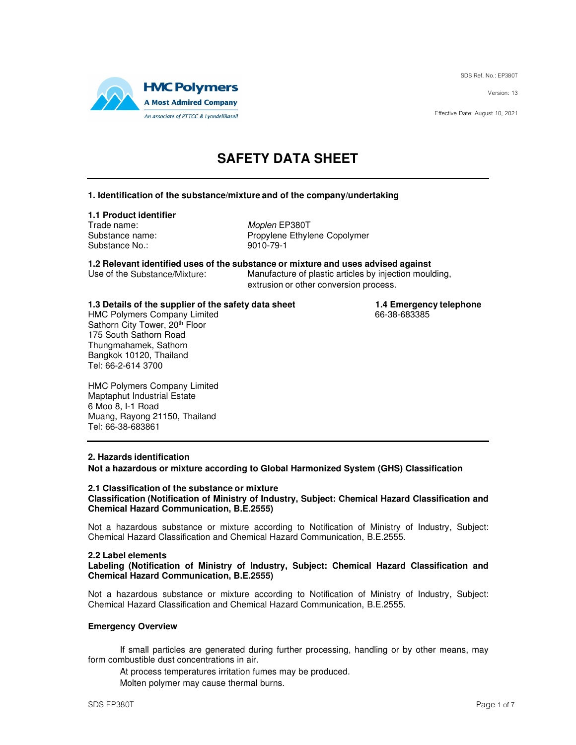SDS Ref. No.: EP380T

Version: 13

Effective Date: August 10, 2021



# **SAFETY DATA SHEET**

### **1. Identification of the substance/mixture and of the company/undertaking**

### **1.1 Product identifier**

Trade name: Moplen EP380T Substance No.: 9010-79-1

Substance name: Propylene Ethylene Copolymer

**1.2 Relevant identified uses of the substance or mixture and uses advised against** Manufacture of plastic articles by injection moulding,

extrusion or other conversion process.

**1.3 Details of the supplier of the safety data sheet 1.4 Emergency telephone**<br>HMC Polymers Company Limited **1.4 Emergency telephone** 

HMC Polymers Company Limited Sathorn City Tower, 20th Floor 175 South Sathorn Road Thungmahamek, Sathorn Bangkok 10120, Thailand Tel: 66-2-614 3700

HMC Polymers Company Limited Maptaphut Industrial Estate 6 Moo 8, I-1 Road Muang, Rayong 21150, Thailand Tel: 66-38-683861

### **2. Hazards identification**

**Not a hazardous or mixture according to Global Harmonized System (GHS) Classification** 

#### **2.1 Classification of the substance or mixture Classification (Notification of Ministry of Industry, Subject: Chemical Hazard Classification and Chemical Hazard Communication, B.E.2555)**

Not a hazardous substance or mixture according to Notification of Ministry of Industry, Subject: Chemical Hazard Classification and Chemical Hazard Communication, B.E.2555.

### **2.2 Label elements**

**Labeling (Notification of Ministry of Industry, Subject: Chemical Hazard Classification and Chemical Hazard Communication, B.E.2555)** 

Not a hazardous substance or mixture according to Notification of Ministry of Industry, Subject: Chemical Hazard Classification and Chemical Hazard Communication, B.E.2555.

### **Emergency Overview**

If small particles are generated during further processing, handling or by other means, may form combustible dust concentrations in air.

At process temperatures irritation fumes may be produced.

Molten polymer may cause thermal burns.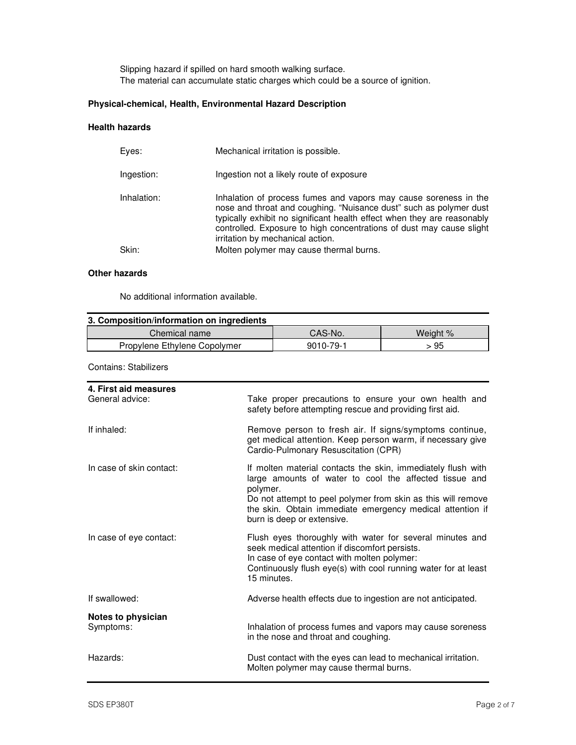Slipping hazard if spilled on hard smooth walking surface. The material can accumulate static charges which could be a source of ignition.

## **Physical-chemical, Health, Environmental Hazard Description**

### **Health hazards**

| Eves:       | Mechanical irritation is possible.                                                                                                                                                                                                                                                                                            |
|-------------|-------------------------------------------------------------------------------------------------------------------------------------------------------------------------------------------------------------------------------------------------------------------------------------------------------------------------------|
| Ingestion:  | Ingestion not a likely route of exposure                                                                                                                                                                                                                                                                                      |
| Inhalation: | Inhalation of process fumes and vapors may cause soreness in the<br>nose and throat and coughing. "Nuisance dust" such as polymer dust<br>typically exhibit no significant health effect when they are reasonably<br>controlled. Exposure to high concentrations of dust may cause slight<br>irritation by mechanical action. |
| Skin:       | Molten polymer may cause thermal burns.                                                                                                                                                                                                                                                                                       |
|             |                                                                                                                                                                                                                                                                                                                               |

### **Other hazards**

No additional information available.

| 3. Composition/information on ingredients |           |          |  |
|-------------------------------------------|-----------|----------|--|
| Chemical name                             | CAS-No.   | Weight % |  |
| Propylene Ethylene Copolymer              | 9010-79-1 | > 95     |  |

Contains: Stabilizers

| 4. First aid measures<br>General advice: | Take proper precautions to ensure your own health and<br>safety before attempting rescue and providing first aid.                                                                                                                                                                             |
|------------------------------------------|-----------------------------------------------------------------------------------------------------------------------------------------------------------------------------------------------------------------------------------------------------------------------------------------------|
| If inhaled:                              | Remove person to fresh air. If signs/symptoms continue,<br>get medical attention. Keep person warm, if necessary give<br>Cardio-Pulmonary Resuscitation (CPR)                                                                                                                                 |
| In case of skin contact:                 | If molten material contacts the skin, immediately flush with<br>large amounts of water to cool the affected tissue and<br>polymer.<br>Do not attempt to peel polymer from skin as this will remove<br>the skin. Obtain immediate emergency medical attention if<br>burn is deep or extensive. |
| In case of eye contact:                  | Flush eyes thoroughly with water for several minutes and<br>seek medical attention if discomfort persists.<br>In case of eye contact with molten polymer:<br>Continuously flush eye(s) with cool running water for at least<br>15 minutes.                                                    |
| If swallowed:                            | Adverse health effects due to ingestion are not anticipated.                                                                                                                                                                                                                                  |
| Notes to physician<br>Symptoms:          | Inhalation of process fumes and vapors may cause soreness<br>in the nose and throat and coughing.                                                                                                                                                                                             |
| Hazards:                                 | Dust contact with the eyes can lead to mechanical irritation.<br>Molten polymer may cause thermal burns.                                                                                                                                                                                      |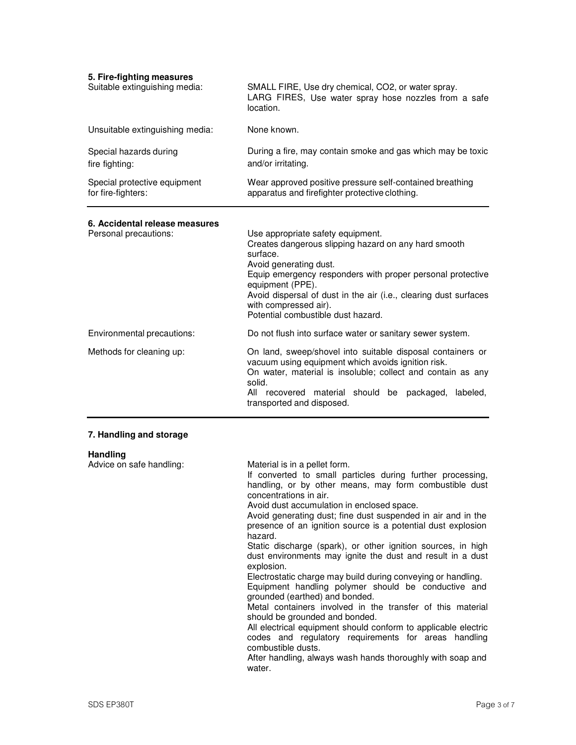| 5. Fire-fighting measures<br>Suitable extinguishing media: | SMALL FIRE, Use dry chemical, CO2, or water spray.<br>LARG FIRES, Use water spray hose nozzles from a safe<br>location.                                                                                                                                                                                                                                                                                                                                                                                                                                                                                                                                                                                                                                                       |
|------------------------------------------------------------|-------------------------------------------------------------------------------------------------------------------------------------------------------------------------------------------------------------------------------------------------------------------------------------------------------------------------------------------------------------------------------------------------------------------------------------------------------------------------------------------------------------------------------------------------------------------------------------------------------------------------------------------------------------------------------------------------------------------------------------------------------------------------------|
| Unsuitable extinguishing media:                            | None known.                                                                                                                                                                                                                                                                                                                                                                                                                                                                                                                                                                                                                                                                                                                                                                   |
| Special hazards during<br>fire fighting:                   | During a fire, may contain smoke and gas which may be toxic<br>and/or irritating.                                                                                                                                                                                                                                                                                                                                                                                                                                                                                                                                                                                                                                                                                             |
| Special protective equipment<br>for fire-fighters:         | Wear approved positive pressure self-contained breathing<br>apparatus and firefighter protective clothing.                                                                                                                                                                                                                                                                                                                                                                                                                                                                                                                                                                                                                                                                    |
| 6. Accidental release measures<br>Personal precautions:    | Use appropriate safety equipment.<br>Creates dangerous slipping hazard on any hard smooth<br>surface.<br>Avoid generating dust.<br>Equip emergency responders with proper personal protective<br>equipment (PPE).<br>Avoid dispersal of dust in the air (i.e., clearing dust surfaces<br>with compressed air).<br>Potential combustible dust hazard.                                                                                                                                                                                                                                                                                                                                                                                                                          |
| Environmental precautions:                                 | Do not flush into surface water or sanitary sewer system.                                                                                                                                                                                                                                                                                                                                                                                                                                                                                                                                                                                                                                                                                                                     |
| Methods for cleaning up:                                   | On land, sweep/shovel into suitable disposal containers or<br>vacuum using equipment which avoids ignition risk.<br>On water, material is insoluble; collect and contain as any<br>solid.<br>All recovered material should be packaged,<br>labeled,<br>transported and disposed.                                                                                                                                                                                                                                                                                                                                                                                                                                                                                              |
| 7. Handling and storage                                    |                                                                                                                                                                                                                                                                                                                                                                                                                                                                                                                                                                                                                                                                                                                                                                               |
| <b>Handling</b><br>Advice on safe handling:                | Material is in a pellet form.<br>If converted to small particles during further processing,<br>handling, or by other means, may form combustible dust<br>concentrations in air.<br>Avoid dust accumulation in enclosed space.<br>Avoid generating dust; fine dust suspended in air and in the<br>presence of an ignition source is a potential dust explosion<br>hazard.<br>Static discharge (spark), or other ignition sources, in high<br>dust environments may ignite the dust and result in a dust<br>explosion.<br>Electrostatic charge may build during conveying or handling.<br>Equipment handling polymer should be conductive and<br>grounded (earthed) and bonded.<br>Metal containers involved in the transfer of this material<br>should be grounded and bonded. |

All electrical equipment should conform to applicable electric codes and regulatory requirements for areas handling combustible dusts.

After handling, always wash hands thoroughly with soap and water.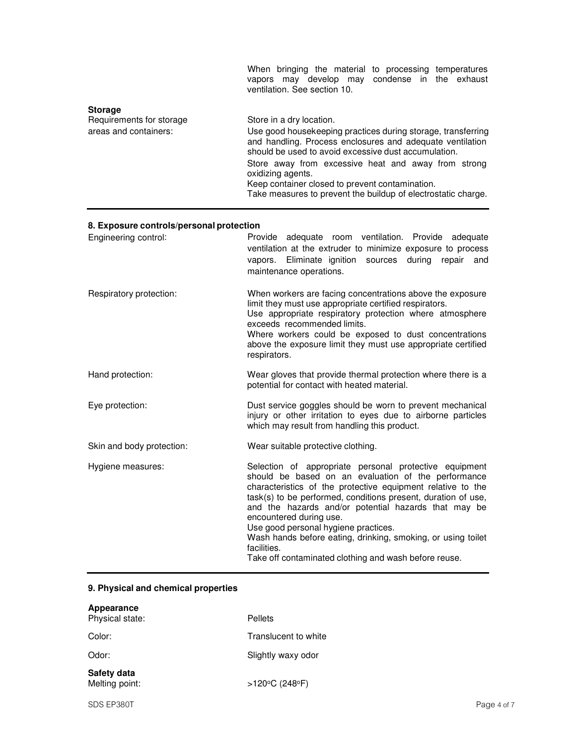|                                                                     | When bringing the material to processing temperatures<br>vapors may develop may condense in the exhaust<br>ventilation. See section 10.                                                                                                                                                                                                                                                                       |
|---------------------------------------------------------------------|---------------------------------------------------------------------------------------------------------------------------------------------------------------------------------------------------------------------------------------------------------------------------------------------------------------------------------------------------------------------------------------------------------------|
| <b>Storage</b><br>Requirements for storage<br>areas and containers: | Store in a dry location.<br>Use good housekeeping practices during storage, transferring<br>and handling. Process enclosures and adequate ventilation<br>should be used to avoid excessive dust accumulation.<br>Store away from excessive heat and away from strong<br>oxidizing agents.<br>Keep container closed to prevent contamination.<br>Take measures to prevent the buildup of electrostatic charge. |

# **8. Exposure controls/personal protection**

| Engineering control:      | Provide adequate room ventilation. Provide adequate<br>ventilation at the extruder to minimize exposure to process<br>vapors. Eliminate ignition sources during<br>repair<br>and<br>maintenance operations.                                                                                                                                                                                                                                                                                                      |
|---------------------------|------------------------------------------------------------------------------------------------------------------------------------------------------------------------------------------------------------------------------------------------------------------------------------------------------------------------------------------------------------------------------------------------------------------------------------------------------------------------------------------------------------------|
| Respiratory protection:   | When workers are facing concentrations above the exposure<br>limit they must use appropriate certified respirators.<br>Use appropriate respiratory protection where atmosphere<br>exceeds recommended limits.<br>Where workers could be exposed to dust concentrations<br>above the exposure limit they must use appropriate certified<br>respirators.                                                                                                                                                           |
| Hand protection:          | Wear gloves that provide thermal protection where there is a<br>potential for contact with heated material.                                                                                                                                                                                                                                                                                                                                                                                                      |
| Eye protection:           | Dust service goggles should be worn to prevent mechanical<br>injury or other irritation to eyes due to airborne particles<br>which may result from handling this product.                                                                                                                                                                                                                                                                                                                                        |
| Skin and body protection: | Wear suitable protective clothing.                                                                                                                                                                                                                                                                                                                                                                                                                                                                               |
| Hygiene measures:         | Selection of appropriate personal protective equipment<br>should be based on an evaluation of the performance<br>characteristics of the protective equipment relative to the<br>task(s) to be performed, conditions present, duration of use,<br>and the hazards and/or potential hazards that may be<br>encountered during use.<br>Use good personal hygiene practices.<br>Wash hands before eating, drinking, smoking, or using toilet<br>facilities.<br>Take off contaminated clothing and wash before reuse. |

# **9. Physical and chemical properties**

| Appearance<br>Physical state: | Pellets              |
|-------------------------------|----------------------|
| Color:                        | Translucent to white |
| Odor:                         | Slightly waxy odor   |
| Safety data<br>Melting point: | >120°C (248°F)       |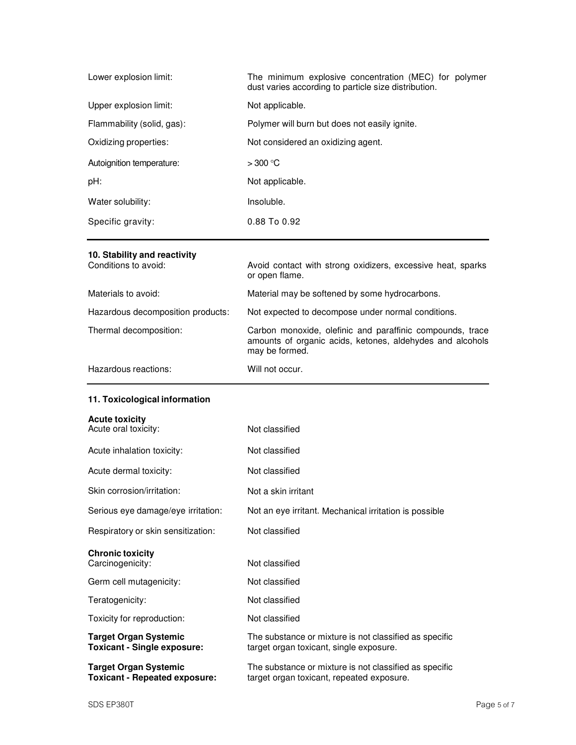| Lower explosion limit:     | The minimum explosive concentration (MEC) for polymer<br>dust varies according to particle size distribution. |
|----------------------------|---------------------------------------------------------------------------------------------------------------|
| Upper explosion limit:     | Not applicable.                                                                                               |
| Flammability (solid, gas): | Polymer will burn but does not easily ignite.                                                                 |
| Oxidizing properties:      | Not considered an oxidizing agent.                                                                            |
| Autoignition temperature:  | $>300$ °C                                                                                                     |
| pH:                        | Not applicable.                                                                                               |
| Water solubility:          | Insoluble.                                                                                                    |
| Specific gravity:          | $0.88$ To $0.92$                                                                                              |

# **10. Stability and reactivity**

| Conditions to avoid:              | Avoid contact with strong oxidizers, excessive heat, sparks<br>or open flame.                                                            |
|-----------------------------------|------------------------------------------------------------------------------------------------------------------------------------------|
| Materials to avoid:               | Material may be softened by some hydrocarbons.                                                                                           |
| Hazardous decomposition products: | Not expected to decompose under normal conditions.                                                                                       |
| Thermal decomposition:            | Carbon monoxide, olefinic and paraffinic compounds, trace<br>amounts of organic acids, ketones, aldehydes and alcohols<br>may be formed. |
| Hazardous reactions:              | Will not occur.                                                                                                                          |

# **11. Toxicological information**

| <b>Acute toxicity</b> |  |  |
|-----------------------|--|--|
|                       |  |  |

| Acute oral toxicity:                                                 | Not classified                                                                                      |
|----------------------------------------------------------------------|-----------------------------------------------------------------------------------------------------|
| Acute inhalation toxicity:                                           | Not classified                                                                                      |
| Acute dermal toxicity:                                               | Not classified                                                                                      |
| Skin corrosion/irritation:                                           | Not a skin irritant                                                                                 |
| Serious eye damage/eye irritation:                                   | Not an eye irritant. Mechanical irritation is possible                                              |
| Respiratory or skin sensitization:                                   | Not classified                                                                                      |
| <b>Chronic toxicity</b><br>Carcinogenicity:                          | Not classified                                                                                      |
| Germ cell mutagenicity:                                              | Not classified                                                                                      |
| Teratogenicity:                                                      | Not classified                                                                                      |
| Toxicity for reproduction:                                           | Not classified                                                                                      |
| <b>Target Organ Systemic</b><br><b>Toxicant - Single exposure:</b>   | The substance or mixture is not classified as specific<br>target organ toxicant, single exposure.   |
| <b>Target Organ Systemic</b><br><b>Toxicant - Repeated exposure:</b> | The substance or mixture is not classified as specific<br>target organ toxicant, repeated exposure. |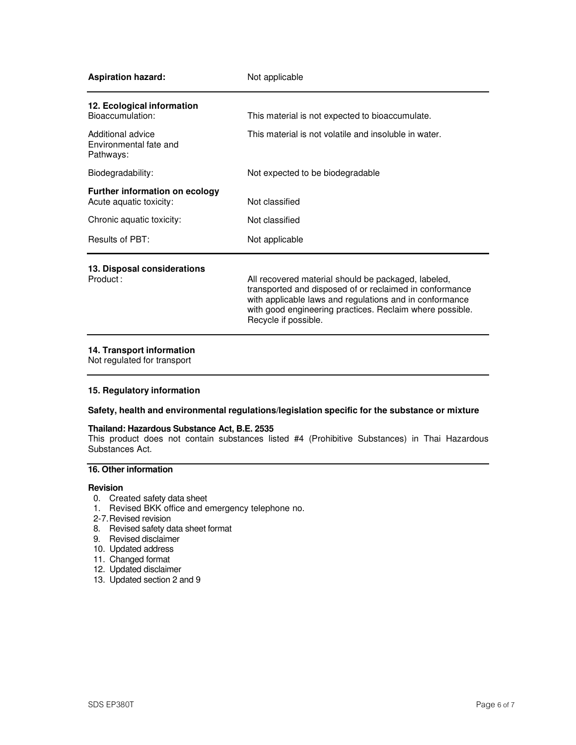| <b>Aspiration hazard:</b>                                        | Not applicable                                                                                                                                                                                                                        |
|------------------------------------------------------------------|---------------------------------------------------------------------------------------------------------------------------------------------------------------------------------------------------------------------------------------|
| 12. Ecological information<br>Bioaccumulation:                   | This material is not expected to bioaccumulate.                                                                                                                                                                                       |
|                                                                  |                                                                                                                                                                                                                                       |
| Additional advice<br>Environmental fate and<br>Pathways:         | This material is not volatile and insoluble in water.                                                                                                                                                                                 |
| Biodegradability:                                                | Not expected to be biodegradable                                                                                                                                                                                                      |
| <b>Further information on ecology</b><br>Acute aquatic toxicity: | Not classified                                                                                                                                                                                                                        |
| Chronic aquatic toxicity:                                        | Not classified                                                                                                                                                                                                                        |
| Results of PBT:                                                  | Not applicable                                                                                                                                                                                                                        |
| 13. Disposal considerations                                      |                                                                                                                                                                                                                                       |
| Product:                                                         | All recovered material should be packaged, labeled,<br>transported and disposed of or reclaimed in conformance<br>with applicable laws and regulations and in conformance<br>with good engineering practices. Reclaim where possible. |

### **14. Transport information**

Not regulated for transport

### **15. Regulatory information**

### **Safety, health and environmental regulations/legislation specific for the substance or mixture**

#### **Thailand: Hazardous Substance Act, B.E. 2535**

This product does not contain substances listed #4 (Prohibitive Substances) in Thai Hazardous Substances Act.

### **16. Other information**

#### **Revision**

- 0. Created safety data sheet
- 1. Revised BKK office and emergency telephone no.

Recycle if possible.

- 2-7. Revised revision
- 8. Revised safety data sheet format
- 9. Revised disclaimer
- 10. Updated address
- 11. Changed format
- 12. Updated disclaimer
- 13. Updated section 2 and 9